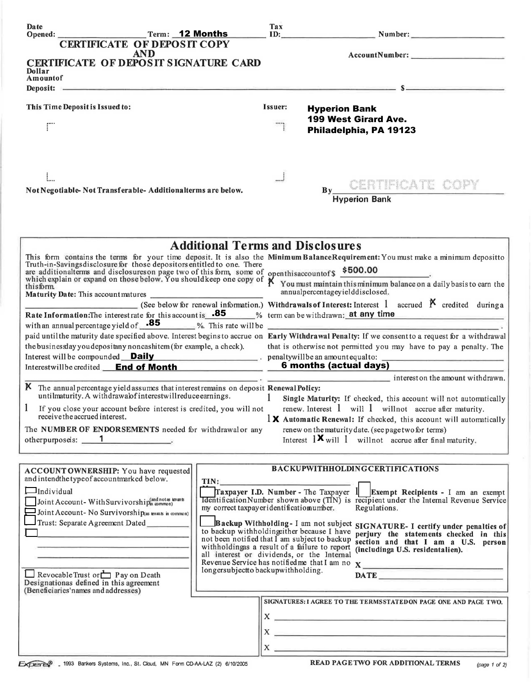| Date                                                                                                                       | Term: 12 Months                                                                             | Tax                                                                                                                                                                                                                                                                                                                                  | ID: Number: Number:                                                                                                                                                                                                               |  |
|----------------------------------------------------------------------------------------------------------------------------|---------------------------------------------------------------------------------------------|--------------------------------------------------------------------------------------------------------------------------------------------------------------------------------------------------------------------------------------------------------------------------------------------------------------------------------------|-----------------------------------------------------------------------------------------------------------------------------------------------------------------------------------------------------------------------------------|--|
| <b>CERTIFICATE OF DEPOSIT COPY</b>                                                                                         |                                                                                             |                                                                                                                                                                                                                                                                                                                                      |                                                                                                                                                                                                                                   |  |
| <b>AND</b>                                                                                                                 |                                                                                             |                                                                                                                                                                                                                                                                                                                                      |                                                                                                                                                                                                                                   |  |
| CERTIFICATE OF DEPOSIT SIGNATURE CARD<br>Dollar                                                                            |                                                                                             |                                                                                                                                                                                                                                                                                                                                      |                                                                                                                                                                                                                                   |  |
| Amountof                                                                                                                   |                                                                                             |                                                                                                                                                                                                                                                                                                                                      | Deposit: Same and the second contract of the second contract of the second contract of the second contract of the second contract of the second contract of the second contract of the second contract of the second contract     |  |
|                                                                                                                            |                                                                                             |                                                                                                                                                                                                                                                                                                                                      |                                                                                                                                                                                                                                   |  |
| This Time Deposit is Issued to:                                                                                            |                                                                                             | Issuer:                                                                                                                                                                                                                                                                                                                              | <b>Hyperion Bank</b>                                                                                                                                                                                                              |  |
|                                                                                                                            |                                                                                             |                                                                                                                                                                                                                                                                                                                                      | 199 West Girard Ave.                                                                                                                                                                                                              |  |
|                                                                                                                            |                                                                                             |                                                                                                                                                                                                                                                                                                                                      | Philadelphia, PA 19123                                                                                                                                                                                                            |  |
|                                                                                                                            |                                                                                             |                                                                                                                                                                                                                                                                                                                                      |                                                                                                                                                                                                                                   |  |
|                                                                                                                            |                                                                                             |                                                                                                                                                                                                                                                                                                                                      |                                                                                                                                                                                                                                   |  |
|                                                                                                                            |                                                                                             |                                                                                                                                                                                                                                                                                                                                      |                                                                                                                                                                                                                                   |  |
|                                                                                                                            |                                                                                             |                                                                                                                                                                                                                                                                                                                                      |                                                                                                                                                                                                                                   |  |
| Not Negotiable-Not Transferable-Additionalterms are below.                                                                 |                                                                                             |                                                                                                                                                                                                                                                                                                                                      | CERTIFICATE COPY<br>$\mathbf{B}\mathbf{v}$                                                                                                                                                                                        |  |
|                                                                                                                            |                                                                                             |                                                                                                                                                                                                                                                                                                                                      | <b>Hyperion Bank</b>                                                                                                                                                                                                              |  |
|                                                                                                                            |                                                                                             |                                                                                                                                                                                                                                                                                                                                      |                                                                                                                                                                                                                                   |  |
|                                                                                                                            |                                                                                             |                                                                                                                                                                                                                                                                                                                                      |                                                                                                                                                                                                                                   |  |
|                                                                                                                            | <b>Additional Terms and Disclosures</b>                                                     |                                                                                                                                                                                                                                                                                                                                      |                                                                                                                                                                                                                                   |  |
|                                                                                                                            |                                                                                             |                                                                                                                                                                                                                                                                                                                                      |                                                                                                                                                                                                                                   |  |
|                                                                                                                            |                                                                                             |                                                                                                                                                                                                                                                                                                                                      |                                                                                                                                                                                                                                   |  |
|                                                                                                                            |                                                                                             | This form contains the terms for your time deposit. It is also the Minimum BalanceRequirement: You must make a minimum depositto Truth-in-Savingsdisclosure for those depositors entitled to one. There<br>are additionalterms a<br>enthisaccountof \$ 500.00<br>You must maintain this minimum balance on a daily basis to earn the |                                                                                                                                                                                                                                   |  |
| thisform<br>Maturity Date: This account matures                                                                            |                                                                                             |                                                                                                                                                                                                                                                                                                                                      | annualpercentageyielddisclosed.                                                                                                                                                                                                   |  |
|                                                                                                                            |                                                                                             |                                                                                                                                                                                                                                                                                                                                      | (See below for renewal information.) Withdrawals of Interest: Interest 1 accrued $\boldsymbol{\beta}$ credited during a                                                                                                           |  |
| Rate Information: The interest rate for this account is .85 % term can be withdrawn: at any time                           |                                                                                             |                                                                                                                                                                                                                                                                                                                                      |                                                                                                                                                                                                                                   |  |
| with an annual percentage yield of $\overline{85}$ %. This rate will be                                                    |                                                                                             |                                                                                                                                                                                                                                                                                                                                      |                                                                                                                                                                                                                                   |  |
|                                                                                                                            |                                                                                             |                                                                                                                                                                                                                                                                                                                                      | paid until the maturity date specified above. Interest begins to accrue on Early Withdrawal Penalty: If we consent to a request for a withdrawal                                                                                  |  |
| the businesslay you depositany noncashitem (for example, a check).                                                         |                                                                                             |                                                                                                                                                                                                                                                                                                                                      | that is otherwise not permitted you may have to pay a penalty. The                                                                                                                                                                |  |
| Interest will be compounded <b>Daily</b> penaltywill be an amount equal to:<br>Interestwillbe credited <b>End of Month</b> |                                                                                             | 6 months (actual days)                                                                                                                                                                                                                                                                                                               |                                                                                                                                                                                                                                   |  |
|                                                                                                                            |                                                                                             |                                                                                                                                                                                                                                                                                                                                      | $\frac{1}{2}$ interest on the amount withdrawn.                                                                                                                                                                                   |  |
| K The annual percentage yield assumes that interest remains on deposit Renewal Policy:                                     |                                                                                             |                                                                                                                                                                                                                                                                                                                                      |                                                                                                                                                                                                                                   |  |
| untilmaturity. A withdrawalof interestwillreduce earnings.                                                                 |                                                                                             | $\mathbf{1}$                                                                                                                                                                                                                                                                                                                         | Single Maturity: If checked, this account will not automatically                                                                                                                                                                  |  |
| If you close your account before interest is credited, you will not<br>receive the accrued interest.                       |                                                                                             |                                                                                                                                                                                                                                                                                                                                      | renew. Interest $1$ will $1$ will not accrue after maturity.<br>$1 \times$ Automatic Renewal: If checked, this account will automatically                                                                                         |  |
| The NUMBER OF ENDORSEMENTS needed for withdrawal or any                                                                    |                                                                                             |                                                                                                                                                                                                                                                                                                                                      | renew on the maturity date. (see page two for terms)                                                                                                                                                                              |  |
| otherpurposeis: 1                                                                                                          |                                                                                             |                                                                                                                                                                                                                                                                                                                                      | Interest $1 \times$ will 1 will not accrue after final maturity.                                                                                                                                                                  |  |
|                                                                                                                            |                                                                                             |                                                                                                                                                                                                                                                                                                                                      |                                                                                                                                                                                                                                   |  |
|                                                                                                                            |                                                                                             |                                                                                                                                                                                                                                                                                                                                      | <b>BACKUPWITHHOLDINGCERTIFICATIONS</b>                                                                                                                                                                                            |  |
| ACCOUNT OWNERSHIP: You have requested<br>and intendthe typeof accountmarked below.                                         | TIN:                                                                                        |                                                                                                                                                                                                                                                                                                                                      |                                                                                                                                                                                                                                   |  |
| $\Box$ Individual                                                                                                          |                                                                                             |                                                                                                                                                                                                                                                                                                                                      | Traxpayer I.D. Number - The Taxpayer $1$ Exempt Recipients - I am an exempt                                                                                                                                                       |  |
| Joint Account-With Survivorship(and not as knants                                                                          |                                                                                             |                                                                                                                                                                                                                                                                                                                                      | <b>Identification Number shown above (TIN)</b> is recipient under the Internal Revenue Service                                                                                                                                    |  |
| Joint Account- No Survivorship(as tenants in common)                                                                       | my correct taxpayer identificatiomumber.                                                    |                                                                                                                                                                                                                                                                                                                                      | Regulations.                                                                                                                                                                                                                      |  |
| Trust: Separate Agreement Dated                                                                                            |                                                                                             |                                                                                                                                                                                                                                                                                                                                      | Backup Withholding-I am not subject SIGNATURE-I certify under penalties of                                                                                                                                                        |  |
|                                                                                                                            | to backup withholdingeither because I have<br>not been notified that I am subject to backup |                                                                                                                                                                                                                                                                                                                                      | perjury the statements checked in this<br>section and that I am a U.S. person                                                                                                                                                     |  |
|                                                                                                                            | withholdingas a result of a failure to report<br>all interest or dividends, or the Internal |                                                                                                                                                                                                                                                                                                                                      | (includinga U.S. residentalien).                                                                                                                                                                                                  |  |
|                                                                                                                            |                                                                                             |                                                                                                                                                                                                                                                                                                                                      |                                                                                                                                                                                                                                   |  |
| Revocable Trust or $\Box$ P ay on Death                                                                                    | longersubjectto backupwithholding.                                                          |                                                                                                                                                                                                                                                                                                                                      | DATE RESERVE AND RESERVE AND RESERVE AND RESERVE AND RESERVE AND RESERVE AND RESERVE AND RESERVE AND RESERVE AND RESERVE AND RESERVE AND RESERVE AND RESERVE AND RESPONDING A REPORT OF A REPORT OF A REPORT OF A REPORT OF A     |  |
| Designationas defined in this agreement<br>(Beneficiaries'names and addresses)                                             |                                                                                             |                                                                                                                                                                                                                                                                                                                                      |                                                                                                                                                                                                                                   |  |
|                                                                                                                            |                                                                                             |                                                                                                                                                                                                                                                                                                                                      | SIGNATURES: I AGREE TO THE TERMSSTATEDON PAGE ONE AND PAGE TWO.                                                                                                                                                                   |  |
|                                                                                                                            |                                                                                             |                                                                                                                                                                                                                                                                                                                                      |                                                                                                                                                                                                                                   |  |
|                                                                                                                            |                                                                                             |                                                                                                                                                                                                                                                                                                                                      | $\mathbf{x}$ $\overline{\phantom{a}}$                                                                                                                                                                                             |  |
|                                                                                                                            |                                                                                             |                                                                                                                                                                                                                                                                                                                                      | $X \longrightarrow 0$                                                                                                                                                                                                             |  |
|                                                                                                                            |                                                                                             |                                                                                                                                                                                                                                                                                                                                      | $X_{\infty}$ . The contract of the contract of the contract of the contract of the contract of the contract of the contract of the contract of the contract of the contract of the contract of the contract of the contract of th |  |
|                                                                                                                            |                                                                                             |                                                                                                                                                                                                                                                                                                                                      |                                                                                                                                                                                                                                   |  |